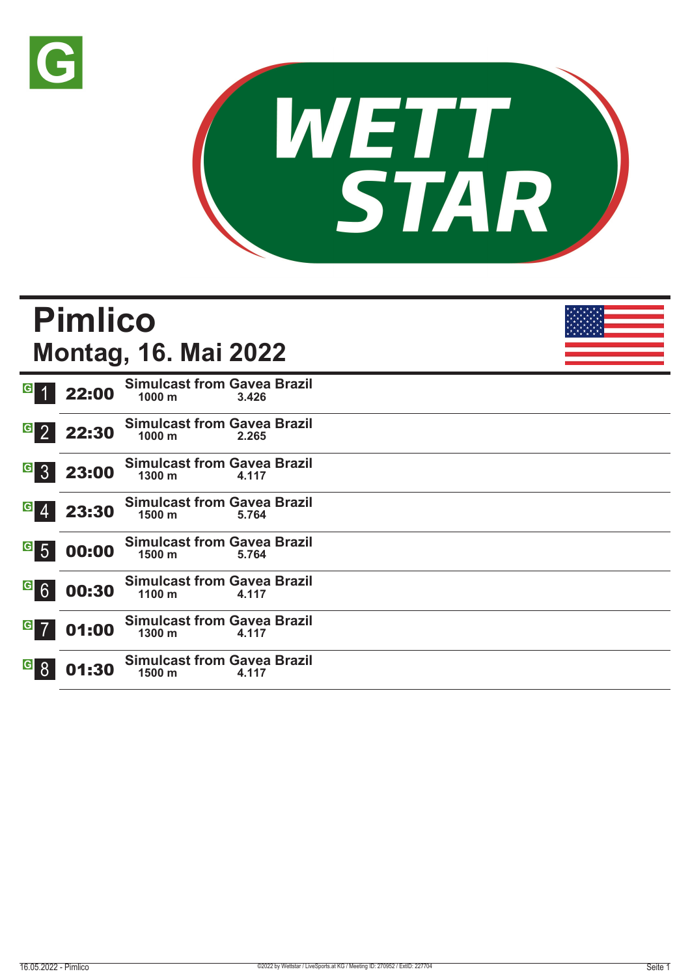



|                       | <b>Pimlico</b> | <b>Montag, 16. Mai 2022</b>                             |       |  |
|-----------------------|----------------|---------------------------------------------------------|-------|--|
| G <sub>1</sub>        | 22:00          | <b>Simulcast from Gavea Brazil</b><br>$1000 \text{ m}$  | 3.426 |  |
| $G_{2}$               | 22:30          | <b>Simulcast from Gavea Brazil</b><br>1000 <sub>m</sub> | 2.265 |  |
| $G$ 3                 | 23:00          | <b>Simulcast from Gavea Brazil</b><br>$1300 \text{ m}$  | 4.117 |  |
| $G \ 4$               | 23:30          | <b>Simulcast from Gavea Brazil</b><br>1500 <sub>m</sub> | 5.764 |  |
| $6$ 5                 | 00:00          | <b>Simulcast from Gavea Brazil</b><br>1500 m            | 5.764 |  |
| G6                    | 00:30          | <b>Simulcast from Gavea Brazil</b><br>$1100 \text{ m}$  | 4.117 |  |
| $G$ 7                 | 01:00          | <b>Simulcast from Gavea Brazil</b><br>$1300 \text{ m}$  | 4.117 |  |
| <b>G</b> <sub>8</sub> | 01:30          | <b>Simulcast from Gavea Brazil</b><br>$1500 \text{ m}$  | 4.117 |  |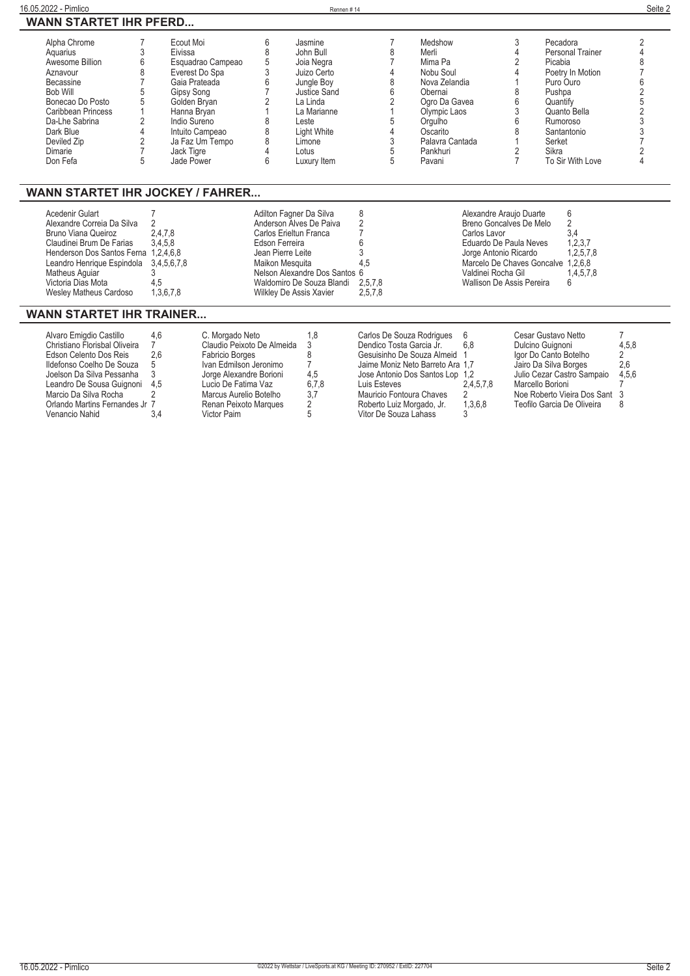| 16.05.2022 - Pimlico<br>Rennen#14                                                                                                                                                                                                                                                                                         |                                                                                                                                                                                                             |                                                                                                                                                                   |                                                                                                                                                                             |                                                                                                |                                                                                                                                                                       | Seite 2                                                                                                                                                  |                                                                                                                                                                                         |                                                                                                            |
|---------------------------------------------------------------------------------------------------------------------------------------------------------------------------------------------------------------------------------------------------------------------------------------------------------------------------|-------------------------------------------------------------------------------------------------------------------------------------------------------------------------------------------------------------|-------------------------------------------------------------------------------------------------------------------------------------------------------------------|-----------------------------------------------------------------------------------------------------------------------------------------------------------------------------|------------------------------------------------------------------------------------------------|-----------------------------------------------------------------------------------------------------------------------------------------------------------------------|----------------------------------------------------------------------------------------------------------------------------------------------------------|-----------------------------------------------------------------------------------------------------------------------------------------------------------------------------------------|------------------------------------------------------------------------------------------------------------|
| <b>WANN STARTET IHR PFERD</b>                                                                                                                                                                                                                                                                                             |                                                                                                                                                                                                             |                                                                                                                                                                   |                                                                                                                                                                             |                                                                                                |                                                                                                                                                                       |                                                                                                                                                          |                                                                                                                                                                                         |                                                                                                            |
| Alpha Chrome<br>3<br>Aquarius<br>Awesome Billion<br>6<br>8<br>Aznavour<br>$\overline{7}$<br>Becassine<br><b>Bob Will</b><br>Bonecao Do Posto<br>5<br>Caribbean Princess<br>$\overline{2}$<br>Da-Lhe Sabrina<br>$\overline{4}$<br>Dark Blue<br>$\overline{2}$<br>Deviled Zip<br>$\overline{7}$<br>Dimarie<br>5<br>Don Fefa | Ecout Moi<br>Eivissa<br>Esquadrao Campeao<br>Everest Do Spa<br>Gaia Prateada<br>Gipsy Song<br>Golden Bryan<br>Hanna Bryan<br>Indio Sureno<br>Intuito Campeao<br>Ja Faz Um Tempo<br>Jack Tigre<br>Jade Power | 6<br>8<br>5<br>3<br>6<br>7<br>$\overline{2}$<br>8<br>8<br>8<br>4<br>6                                                                                             | Jasmine<br>John Bull<br>Joia Negra<br>Juizo Certo<br>Jungle Boy<br>Justice Sand<br>La Linda<br>La Marianne<br>Leste<br><b>Light White</b><br>Limone<br>Lotus<br>Luxury Item | 7<br>8<br>7<br>4<br>8<br>6<br>2<br>$\overline{1}$<br>5<br>4<br>3<br>5<br>5                     | Medshow<br>Merli<br>Mima Pa<br>Nobu Soul<br>Nova Zelandia<br>Obernai<br>Ogro Da Gavea<br>Olympic Laos<br>Orgulho<br>Oscarito<br>Palavra Cantada<br>Pankhuri<br>Pavani | 3<br>4<br>2<br>4<br>8<br>6<br>3<br>6<br>8<br>2<br>$\overline{7}$                                                                                         | Pecadora<br><b>Personal Trainer</b><br>Picabia<br>Poetry In Motion<br>Puro Ouro<br>Pushpa<br>Quantify<br>Quanto Bella<br>Rumoroso<br>Santantonio<br>Serket<br>Sikra<br>To Sir With Love | $\overline{2}$<br>$\overline{4}$<br>8<br>6<br>$\overline{c}$<br>$\overline{2}$<br>3<br>3<br>$\overline{4}$ |
| <b>WANN STARTET IHR JOCKEY / FAHRER</b>                                                                                                                                                                                                                                                                                   |                                                                                                                                                                                                             |                                                                                                                                                                   |                                                                                                                                                                             |                                                                                                |                                                                                                                                                                       |                                                                                                                                                          |                                                                                                                                                                                         |                                                                                                            |
| Acedenir Gulart<br>Alexandre Correia Da Silva<br><b>Bruno Viana Queiroz</b><br>Claudinei Brum De Farias<br>Henderson Dos Santos Ferna 1,2,4,6,8<br>Leandro Henrique Espindola<br>Matheus Aguiar<br>Victoria Dias Mota<br><b>Wesley Matheus Cardoso</b><br><b>WANN STARTET IHR TRAINER</b>                                 | 7<br>$\overline{2}$<br>2,4,7,8<br>3,4,5,8<br>3,4,5,6,7,8<br>3<br>4,5<br>1,3,6,7,8                                                                                                                           | Adilton Fagner Da Silva<br>Anderson Alves De Paiva<br>Carlos Erieltun Franca<br>Edson Ferreira<br>Jean Pierre Leite<br>Maikon Mesquita<br>Wilkley De Assis Xavier | Nelson Alexandre Dos Santos 6<br>Waldomiro De Souza Blandi                                                                                                                  | 8<br>$\overline{2}$<br>7<br>6<br>3<br>4.5<br>2,5,7,8<br>2,5,7,8                                | Carlos Lavor                                                                                                                                                          | Alexandre Araujo Duarte<br>Breno Goncalves De Melo<br>Eduardo De Paula Neves<br>Jorge Antonio Ricardo<br>Valdinei Rocha Gil<br>Wallison De Assis Pereira | 6<br>$\overline{2}$<br>3,4<br>1,2,3,7<br>1,2,5,7,8<br>Marcelo De Chaves Goncalve 1,2,6,8<br>1,4,5,7,8<br>6                                                                              |                                                                                                            |
| Alvaro Emigdio Castillo<br>Christiano Florisbal Oliveira                                                                                                                                                                                                                                                                  | 4,6<br>C. Morgado Neto<br>$\overline{7}$<br>2.6                                                                                                                                                             | Claudio Peixoto De Almeida                                                                                                                                        | 1,8<br>3<br>8                                                                                                                                                               | Carlos De Souza Rodriques<br>Dendico Tosta Garcia Jr.<br>Gesuisinho De Souza Almeid            | 6<br>6.8<br>$\overline{1}$                                                                                                                                            |                                                                                                                                                          | Cesar Gustavo Netto<br>Dulcino Guignoni<br>Igor Do Canto Botelho                                                                                                                        | 4,5,8<br>$\overline{2}$                                                                                    |
| Edson Celento Dos Reis<br>Ildefonso Coelho De Souza<br>Joelson Da Silva Pessanha<br>Leandro De Sousa Guignoni<br>Marcio Da Silva Rocha<br>Orlando Martins Fernandes Jr<br>Venancio Nahid                                                                                                                                  | <b>Fabricio Borges</b><br>5<br>3<br>4.5<br>Lucio De Fatima Vaz<br>$\overline{2}$<br>7<br>3.4<br>Victor Paim                                                                                                 | Ivan Edmilson Jeronimo<br>Jorge Alexandre Borioni<br>Marcus Aurelio Botelho<br>Renan Peixoto Marques                                                              | $\overline{7}$<br>4,5<br>6,7,8<br>3.7<br>2<br>5                                                                                                                             | Luis Esteves<br>Mauricio Fontoura Chaves<br>Roberto Luiz Morgado, Jr.<br>Vitor De Souza Lahass | Jaime Moniz Neto Barreto Ara 1.7<br>Jose Antonio Dos Santos Lop 1,2<br>2,4,5,7,8<br>$\overline{2}$<br>1,3,6,8                                                         |                                                                                                                                                          | Jairo Da Silva Borges<br>Julio Cezar Castro Sampaio<br>Marcello Borioni<br>Noe Roberto Vieira Dos Sant 3<br>Teofilo Garcia De Oliveira                                                  | 2,6<br>4,5,6<br>8                                                                                          |

 $\overline{a}$ 

 $\overline{a}$ 

 $\overline{a}$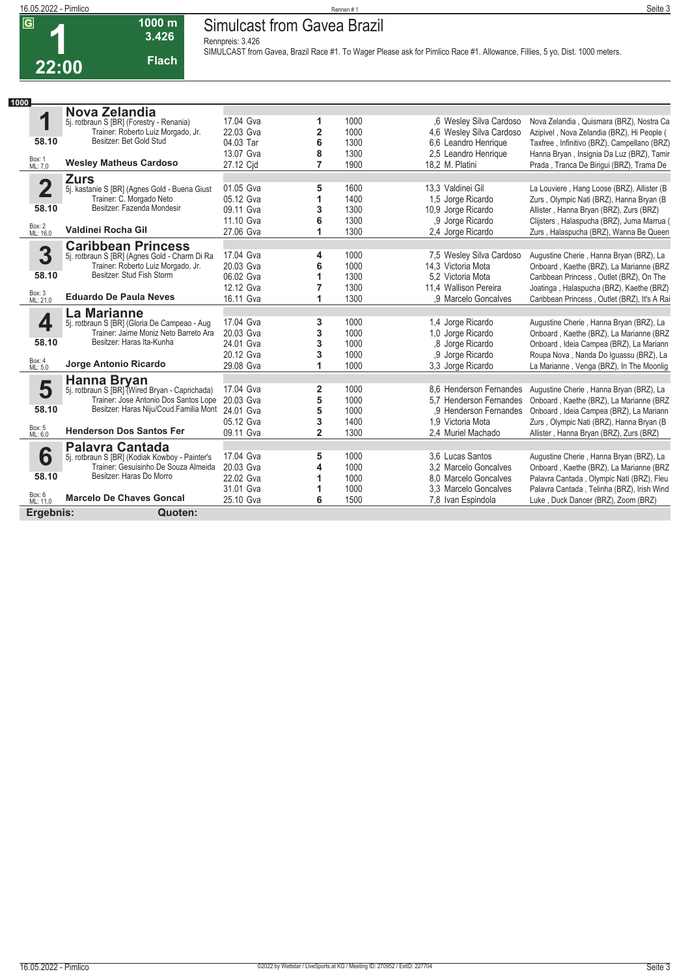### **16.05.2022 - Pimlico** Rennen # 1 **Seite 3 Simulcast from Gavea Brazil**

**Rennpreis: 3.426**

**1000 m 3.426 Flach**

**22:00**

**SIMULCAST from Gavea, Brazil Race #1. To Wager Please ask for Pimlico Race #1. Allowance, Fillies, 5 yo, Dist. 1000 meters.** 

| 1000                    |                                                                                       |           |                         |      |                          |                                              |
|-------------------------|---------------------------------------------------------------------------------------|-----------|-------------------------|------|--------------------------|----------------------------------------------|
|                         | Nova Zelandia                                                                         |           |                         |      |                          |                                              |
| 1                       | 5j. rotbraun S [BR] (Forestry - Renania)                                              | 17.04 Gva | 1                       | 1000 | .6 Wesley Silva Cardoso  | Nova Zelandia, Quismara (BRZ), Nostra Ca     |
|                         | Trainer: Roberto Luiz Morgado, Jr.                                                    | 22.03 Gva | $\overline{\mathbf{2}}$ | 1000 | 4.6 Wesley Silva Cardoso | Azipivel, Nova Zelandia (BRZ), Hi People (   |
| 58.10                   | Besitzer: Bet Gold Stud                                                               | 04.03 Tar | 6                       | 1300 | 6,6 Leandro Henrique     | Taxfree, Infinitivo (BRZ), Campellano (BRZ)  |
|                         |                                                                                       | 13.07 Gva | 8                       | 1300 | 2.5 Leandro Henrique     | Hanna Bryan, Insignia Da Luz (BRZ), Tamir    |
| Box: 1<br>ML: 7,0       | <b>Wesley Matheus Cardoso</b>                                                         | 27.12 Cid | 7                       | 1900 | 18,2 M. Platini          | Prada, Tranca De Biriqui (BRZ), Trama De     |
|                         | <b>Zurs</b>                                                                           |           |                         |      |                          |                                              |
| $\overline{\mathbf{2}}$ | 5j. kastanie S [BR] (Agnes Gold - Buena Giust                                         | 01.05 Gva | 5                       | 1600 | 13.3 Valdinei Gil        | La Louviere, Hang Loose (BRZ), Allister (B   |
|                         | Trainer: C. Morgado Neto                                                              | 05.12 Gva | 1                       | 1400 | 1,5 Jorge Ricardo        | Zurs, Olympic Nati (BRZ), Hanna Bryan (B     |
| 58.10                   | Besitzer: Fazenda Mondesir                                                            | 09.11 Gva | 3                       | 1300 | 10,9 Jorge Ricardo       | Allister, Hanna Bryan (BRZ), Zurs (BRZ)      |
|                         |                                                                                       | 11.10 Gva | 6                       | 1300 | ,9 Jorge Ricardo         | Clijsters, Halaspucha (BRZ), Juma Marrua (   |
| Box: 2<br>ML: 16,0      | Valdinei Rocha Gil                                                                    | 27.06 Gva | 1                       | 1300 | 2.4 Jorge Ricardo        | Zurs, Halaspucha (BRZ), Wanna Be Queen       |
|                         |                                                                                       |           |                         |      |                          |                                              |
| 3                       | <b>Caribbean Princess</b><br>5j. rotbraun S [BR] (Agnes Gold - Charm Di Ra            | 17.04 Gva | 4                       | 1000 | 7.5 Wesley Silva Cardoso | Augustine Cherie, Hanna Bryan (BRZ), La      |
|                         | Trainer: Roberto Luiz Morgado, Jr.                                                    | 20.03 Gva | 6                       | 1000 | 14.3 Victoria Mota       | Onboard, Kaethe (BRZ), La Marianne (BRZ      |
| 58.10                   | Besitzer: Stud Fish Storm                                                             | 06.02 Gva | 1                       | 1300 | 5.2 Victoria Mota        | Caribbean Princess, Outlet (BRZ), On The     |
|                         |                                                                                       | 12.12 Gva | 7                       | 1300 | 11,4 Wallison Pereira    | Joatinga, Halaspucha (BRZ), Kaethe (BRZ)     |
| Box: 3<br>ML: 21,0      | <b>Eduardo De Paula Neves</b>                                                         | 16.11 Gva | 1                       | 1300 | .9 Marcelo Goncalves     | Caribbean Princess, Outlet (BRZ), It's A Rai |
|                         |                                                                                       |           |                         |      |                          |                                              |
|                         | La Marianne                                                                           | 17.04 Gva |                         |      |                          |                                              |
| 4                       | 5j. rotbraun S [BR] (Gloria De Campeao - Aug<br>Trainer: Jaime Moniz Neto Barreto Ara |           | 3                       | 1000 | 1,4 Jorge Ricardo        | Augustine Cherie, Hanna Bryan (BRZ), La      |
| 58.10                   | Besitzer: Haras Ita-Kunha                                                             | 20.03 Gva | 3                       | 1000 | 1.0 Jorge Ricardo        | Onboard, Kaethe (BRZ), La Marianne (BRZ      |
|                         |                                                                                       | 24.01 Gva | 3                       | 1000 | .8 Jorge Ricardo         | Onboard, Ideia Campea (BRZ), La Mariann      |
| Box: 4                  | Jorge Antonio Ricardo                                                                 | 20.12 Gva | 3                       | 1000 | .9 Jorge Ricardo         | Roupa Nova, Nanda Do Iguassu (BRZ), La       |
| ML: 5.0                 |                                                                                       | 29.08 Gva | 1                       | 1000 | 3.3 Jorge Ricardo        | La Marianne, Venga (BRZ), In The Moonlig     |
|                         | Hanna Bryan                                                                           |           |                         |      |                          |                                              |
| 5                       | 5j. rotbraun S [BR] (Wired Bryan - Caprichada)                                        | 17.04 Gva | 2                       | 1000 | 8.6 Henderson Fernandes  | Augustine Cherie, Hanna Bryan (BRZ), La      |
|                         | Trainer: Jose Antonio Dos Santos Lope                                                 | 20.03 Gva | 5                       | 1000 | 5.7 Henderson Fernandes  | Onboard, Kaethe (BRZ), La Marianne (BRZ      |
| 58.10                   | Besitzer: Haras Niju/Coud.Familia Mont                                                | 24.01 Gva | 5                       | 1000 | .9 Henderson Fernandes   | Onboard, Ideia Campea (BRZ), La Mariann      |
|                         |                                                                                       | 05.12 Gva | 3                       | 1400 | 1.9 Victoria Mota        | Zurs, Olympic Nati (BRZ), Hanna Bryan (B     |
| Box: 5<br>ML: 6,0       | <b>Henderson Dos Santos Fer</b>                                                       | 09.11 Gva | $\overline{2}$          | 1300 | 2,4 Muriel Machado       | Allister, Hanna Bryan (BRZ), Zurs (BRZ)      |
|                         | <b>Palavra Cantada</b>                                                                |           |                         |      |                          |                                              |
| 6                       | 5j. rotbraun S [BR] (Kodiak Kowboy - Painter's                                        | 17.04 Gva | 5                       | 1000 | 3.6 Lucas Santos         | Augustine Cherie, Hanna Bryan (BRZ), La      |
|                         | Trainer: Gesuisinho De Souza Almeida                                                  | 20.03 Gva | 4                       | 1000 | 3.2 Marcelo Goncalves    | Onboard, Kaethe (BRZ), La Marianne (BRZ      |
| 58.10                   | Besitzer: Haras Do Morro                                                              | 22.02 Gva | 1                       | 1000 | 8.0 Marcelo Goncalves    | Palavra Cantada, Olympic Nati (BRZ), Fleu    |
|                         |                                                                                       | 31.01 Gva | 1                       | 1000 | 3.3 Marcelo Goncalves    | Palavra Cantada, Telinha (BRZ), Irish Wind   |
| Box: 6<br>ML: 11,0      | <b>Marcelo De Chaves Goncal</b>                                                       | 25.10 Gva | 6                       | 1500 | 7,8 Ivan Espindola       | Luke, Duck Dancer (BRZ), Zoom (BRZ)          |
| Ergebnis:               | Quoten:                                                                               |           |                         |      |                          |                                              |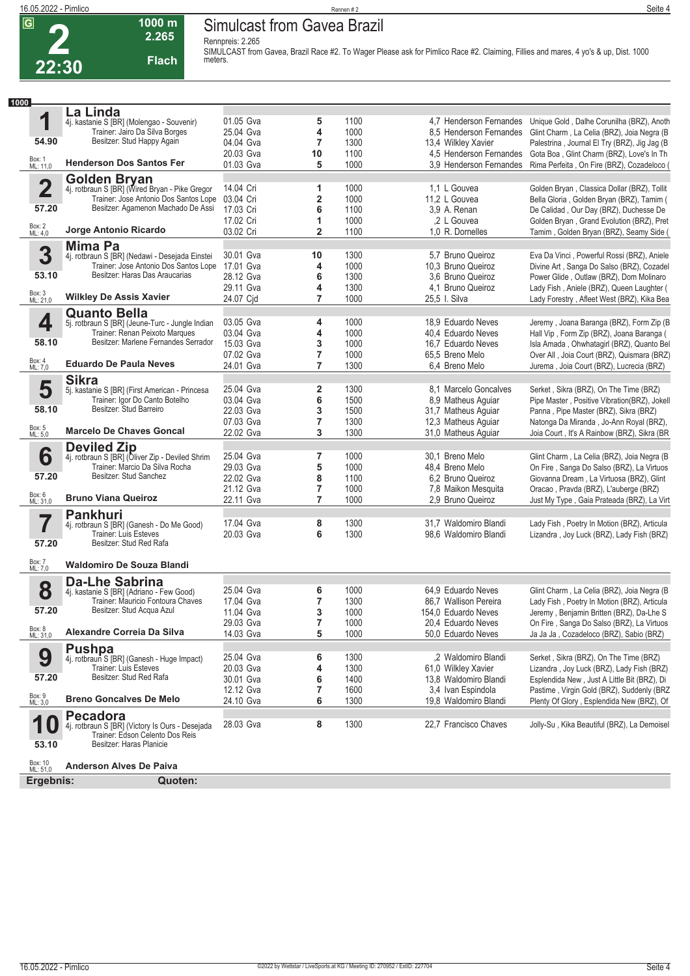**2**

### **16.05.2022 - Pimlico** Rennen # 2 **Seite 4 Simulcast from Gavea Brazil**

**Rennpreis: 2.265**



**1000 m**

**SIMULCAST from Gavea, Brazil Race #2. To Wager Please ask for Pimlico Race #2. Claiming, Fillies and mares, 4 yo's & up, Dist. 1000 meters.** 

| 1000                |                                                                        |           |                |      |                         |                                              |
|---------------------|------------------------------------------------------------------------|-----------|----------------|------|-------------------------|----------------------------------------------|
|                     | La Linda                                                               |           |                |      |                         |                                              |
| 1                   | 4j. kastanie S [BR] (Molengao - Souvenir)                              | 01.05 Gva | 5              | 1100 | 4.7 Henderson Fernandes | Unique Gold, Dalhe Corunilha (BRZ), Anoth    |
|                     | Trainer: Jairo Da Silva Borges                                         | 25.04 Gva | 4              | 1000 | 8.5 Henderson Fernandes | Glint Charm, La Celia (BRZ), Joia Negra (B   |
| 54.90               | Besitzer: Stud Happy Again                                             | 04.04 Gva | 7              | 1300 | 13,4 Wilkley Xavier     | Palestrina, Journal El Try (BRZ), Jig Jag (B |
|                     |                                                                        | 20.03 Gva | 10             | 1100 | 4,5 Henderson Fernandes | Gota Boa, Glint Charm (BRZ), Love's In Th    |
| Box: 1<br>ML: 11,0  | <b>Henderson Dos Santos Fer</b>                                        | 01.03 Gva | 5              | 1000 | 3.9 Henderson Fernandes | Rima Perfeita, On Fire (BRZ), Cozadeloco (   |
|                     | <b>Golden Bryan</b>                                                    |           |                |      |                         |                                              |
| $\overline{2}$      | 4j. rotbraun S [BR] (Wired Bryan - Pike Gregor                         | 14.04 Cri | 1              | 1000 | 1,1 L Gouvea            | Golden Bryan, Classica Dollar (BRZ), Tollit  |
|                     | Trainer: Jose Antonio Dos Santos Lope                                  | 03.04 Cri | 2              | 1000 | 11,2 L Gouvea           | Bella Gloria, Golden Bryan (BRZ), Tamim (    |
| 57.20               | Besitzer: Agamenon Machado De Assi                                     | 17.03 Cri | 6              | 1100 | 3,9 A. Renan            | De Calidad, Our Day (BRZ), Duchesse De       |
|                     |                                                                        | 17.02 Cri | 1              | 1000 | .2 L Gouvea             | Golden Bryan, Grand Evolution (BRZ), Pret    |
| Box: 2<br>ML: 4,0   | Jorge Antonio Ricardo                                                  | 03.02 Cri | 2              | 1100 | 1,0 R. Dornelles        | Tamim, Golden Bryan (BRZ), Seamy Side (      |
|                     |                                                                        |           |                |      |                         |                                              |
| 3                   | <b>Mima Pa</b><br>4j. rotbraun S [BR] (Nedawi - Desejada Einstei       | 30.01 Gva | 10             | 1300 | 5,7 Bruno Queiroz       | Eva Da Vinci, Powerful Rossi (BRZ), Aniele   |
|                     | Trainer: Jose Antonio Dos Santos Lope                                  | 17.01 Gva | 4              | 1000 | 10,3 Bruno Queiroz      | Divine Art, Sanga Do Salso (BRZ), Cozadel    |
| 53.10               | Besitzer: Haras Das Araucarias                                         | 28.12 Gva | 6              | 1300 | 3.6 Bruno Queiroz       | Power Glide, Outlaw (BRZ), Dom Molinaro      |
|                     |                                                                        | 29.11 Gva | 4              | 1300 | 4,1 Bruno Queiroz       | Lady Fish, Aniele (BRZ), Queen Laughter (    |
| Box: 3<br>ML: 21,0  | <b>Wilkley De Assis Xavier</b>                                         |           | 7              | 1000 |                         |                                              |
|                     |                                                                        | 24.07 Cjd |                |      | 25,5 I. Silva           | Lady Forestry, Afleet West (BRZ), Kika Bea   |
|                     | <b>Quanto Bella</b>                                                    |           |                |      |                         |                                              |
| 4                   | 5j. rotbraun S [BR] (Jeune-Turc - Jungle Indian                        | 03.05 Gva | 4              | 1000 | 18,9 Eduardo Neves      | Jeremy, Joana Baranga (BRZ), Form Zip (B     |
|                     | Trainer: Renan Peixoto Marques<br>Besitzer: Marlene Fernandes Serrador | 03.04 Gva | 4              | 1000 | 40,4 Eduardo Neves      | Hall Vip, Form Zip (BRZ), Joana Baranga (    |
| 58.10               |                                                                        | 15.03 Gva | 3              | 1000 | 16.7 Eduardo Neves      | Isla Amada, Ohwhatagirl (BRZ), Quanto Bel    |
|                     | <b>Eduardo De Paula Neves</b>                                          | 07.02 Gva | 7              | 1000 | 65,5 Breno Melo         | Over All, Joia Court (BRZ), Quismara (BRZ)   |
| Box: 4<br>ML: 7,0   |                                                                        | 24.01 Gva | 7              | 1300 | 6,4 Breno Melo          | Jurema, Joia Court (BRZ), Lucrecia (BRZ)     |
|                     | <b>Sikra</b>                                                           |           |                |      |                         |                                              |
| 5                   | 5j. kastanie S [BR] (First American - Princesa                         | 25.04 Gva | 2              | 1300 | 8.1 Marcelo Goncalves   | Serket, Sikra (BRZ), On The Time (BRZ)       |
|                     | Trainer: Igor Do Canto Botelho                                         | 03.04 Gva | 6              | 1500 | 8,9 Matheus Aguiar      | Pipe Master, Positive Vibration(BRZ), Jokell |
| 58.10               | Besitzer: Stud Barreiro                                                | 22.03 Gva | 3              | 1500 | 31,7 Matheus Aguiar     | Panna, Pipe Master (BRZ), Sikra (BRZ)        |
|                     |                                                                        | 07.03 Gva | 7              | 1300 | 12,3 Matheus Aguiar     | Natonga Da Miranda, Jo-Ann Royal (BRZ),      |
| Box: 5<br>ML: 5,0   | <b>Marcelo De Chaves Goncal</b>                                        | 22.02 Gva | 3              | 1300 | 31,0 Matheus Aquiar     | Joia Court, It's A Rainbow (BRZ), Sikra (BR  |
|                     | <b>Deviled Zip</b>                                                     |           |                |      |                         |                                              |
| 6                   | 4j. rotbraun S [BR] (Oliver Zip - Deviled Shrim                        | 25.04 Gva | 7              | 1000 | 30,1 Breno Melo         | Glint Charm, La Celia (BRZ), Joia Negra (B   |
|                     | Trainer: Marcio Da Silva Rocha                                         | 29.03 Gva | 5              | 1000 | 48,4 Breno Melo         | On Fire, Sanga Do Salso (BRZ), La Virtuos    |
| 57.20               | Besitzer: Stud Sanchez                                                 | 22.02 Gva | 8              | 1100 | 6.2 Bruno Queiroz       | Giovanna Dream, La Virtuosa (BRZ), Glint     |
|                     |                                                                        | 21.12 Gva | 7              | 1000 | 7,8 Maikon Mesquita     | Oracao, Pravda (BRZ), L'auberge (BRZ)        |
| Box: 6<br>ML: 31,0  | <b>Bruno Viana Queiroz</b>                                             | 22.11 Gva | 7              | 1000 | 2.9 Bruno Queiroz       | Just My Type, Gaia Prateada (BRZ), La Virt   |
|                     | <b>Pankhuri</b>                                                        |           |                |      |                         |                                              |
| 7                   | 4j. rotbraun S [BR] (Ganesh - Do Me Good)                              | 17.04 Gva | 8              | 1300 | 31,7 Waldomiro Blandi   | Lady Fish, Poetry In Motion (BRZ), Articula  |
|                     | <b>Trainer: Luis Esteves</b>                                           | 20.03 Gva | 6              | 1300 | 98,6 Waldomiro Blandi   | Lizandra, Joy Luck (BRZ), Lady Fish (BRZ)    |
| 57.20               | Besitzer: Stud Red Rafa                                                |           |                |      |                         |                                              |
|                     |                                                                        |           |                |      |                         |                                              |
| Box: 7<br>ML: 7,0   | <b>Waldomiro De Souza Blandi</b>                                       |           |                |      |                         |                                              |
|                     | <b>Da-Lhe Sabrina</b>                                                  |           |                |      |                         |                                              |
| 8                   | 4j. kastanie S [BR] (Adriano - Few Good)                               | 25.04 Gva | 6              | 1000 | 64,9 Eduardo Neves      | Glint Charm, La Celia (BRZ), Joia Negra (B   |
|                     | Trainer: Mauricio Fontoura Chaves                                      | 17.04 Gva | $\overline{7}$ | 1300 | 86,7 Wallison Pereira   | Lady Fish, Poetry In Motion (BRZ), Articula  |
| 57.20               | Besitzer: Stud Acqua Azul                                              | 11.04 Gva | 3              | 1000 | 154,0 Eduardo Neves     | Jeremy, Benjamin Britten (BRZ), Da-Lhe S     |
|                     |                                                                        | 29.03 Gva | 7              | 1000 | 20,4 Eduardo Neves      | On Fire, Sanga Do Salso (BRZ), La Virtuos    |
| Box: 8<br>ML: 31,0  | Alexandre Correia Da Silva                                             | 14.03 Gva | 5              | 1000 | 50,0 Eduardo Neves      | Ja Ja Ja, Cozadeloco (BRZ), Sabio (BRZ)      |
|                     | <b>Pushpa</b>                                                          |           |                |      |                         |                                              |
| 9                   | 4j. rotbraun S [BR] (Ganesh - Huge Impact)                             | 25.04 Gva | 6              | 1300 | ,2 Waldomiro Blandi     | Serket, Sikra (BRZ), On The Time (BRZ)       |
|                     | Trainer: Luis Esteves                                                  | 20.03 Gva | 4              | 1300 | 61,0 Wilkley Xavier     | Lizandra, Joy Luck (BRZ), Lady Fish (BRZ)    |
| 57.20               | Besitzer: Stud Red Rafa                                                | 30.01 Gva | 6              | 1400 | 13,8 Waldomiro Blandi   | Esplendida New, Just A Little Bit (BRZ), Di  |
|                     |                                                                        | 12.12 Gva | 7              | 1600 | 3.4 Ivan Espindola      | Pastime, Virgin Gold (BRZ), Suddenly (BRZ    |
| Box: 9<br>ML: 3,0   | <b>Breno Goncalves De Melo</b>                                         | 24.10 Gva | 6              | 1300 | 19.8 Waldomiro Blandi   | Plenty Of Glory, Esplendida New (BRZ), Of    |
|                     |                                                                        |           |                |      |                         |                                              |
| 1                   | <b>Pecadora</b><br>4j. rotbraun S [BR] (Victory Is Ours - Desejada     | 28.03 Gva | 8              | 1300 | 22,7 Francisco Chaves   | Jolly-Su, Kika Beautiful (BRZ), La Demoisel  |
| U                   | Trainer: Edson Celento Dos Reis                                        |           |                |      |                         |                                              |
| 53.10               | Besitzer: Haras Planicie                                               |           |                |      |                         |                                              |
|                     |                                                                        |           |                |      |                         |                                              |
| Box: 10<br>ML: 51,0 | <b>Anderson Alves De Paiva</b>                                         |           |                |      |                         |                                              |
| Ergebnis:           | Quoten:                                                                |           |                |      |                         |                                              |
|                     |                                                                        |           |                |      |                         |                                              |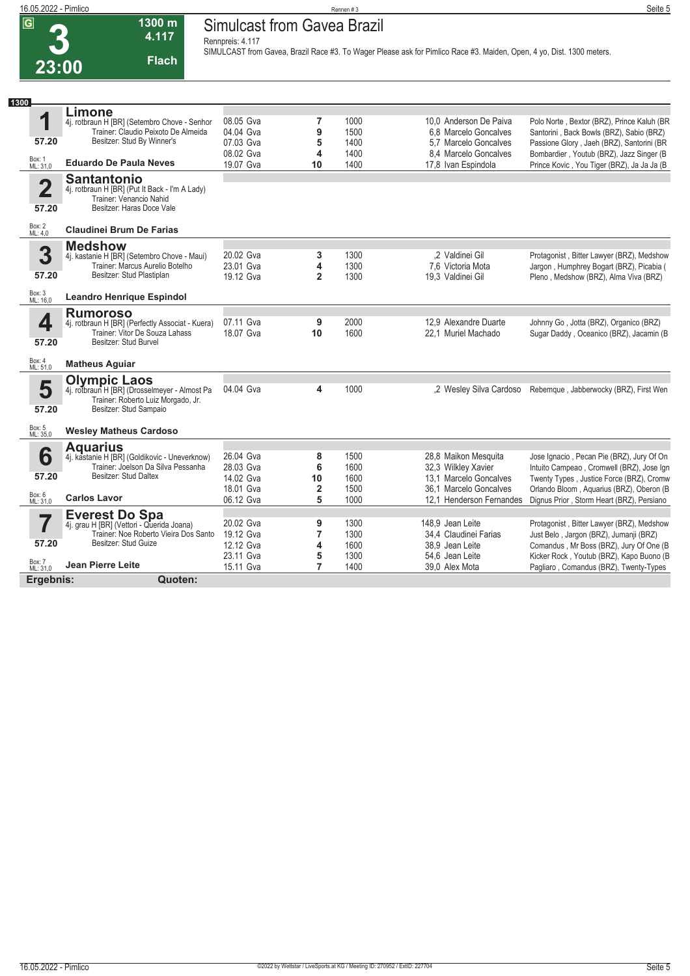# **Simulcast from Gavea Brazil**

**Rennpreis: 4.117**

**4.117 Flach**

**1300 m**

**SIMULCAST from Gavea, Brazil Race #3. To Wager Please ask for Pimlico Race #3. Maiden, Open, 4 yo, Dist. 1300 meters.** 

| 1300               |                                                                                     |                        |                |              |                                                |                                                                                        |
|--------------------|-------------------------------------------------------------------------------------|------------------------|----------------|--------------|------------------------------------------------|----------------------------------------------------------------------------------------|
|                    | Limone                                                                              |                        |                |              |                                                |                                                                                        |
| 1                  | 4j. rotbraun H [BR] (Setembro Chove - Senhor                                        | 08.05 Gva              | 7              | 1000         | 10.0 Anderson De Paiva                         | Polo Norte, Bextor (BRZ), Prince Kaluh (BR                                             |
| 57.20              | Trainer: Claudio Peixoto De Almeida<br>Besitzer: Stud By Winner's                   | 04.04 Gva              | 9              | 1500         | 6.8 Marcelo Goncalves                          | Santorini, Back Bowls (BRZ), Sabio (BRZ)                                               |
|                    |                                                                                     | 07.03 Gva<br>08.02 Gva | 5<br>4         | 1400<br>1400 | 5,7 Marcelo Goncalves<br>8,4 Marcelo Goncalves | Passione Glory, Jaeh (BRZ), Santorini (BR<br>Bombardier, Youtub (BRZ), Jazz Singer (B) |
| Box: 1<br>ML: 31,0 | <b>Eduardo De Paula Neves</b>                                                       | 19.07 Gva              | 10             | 1400         | 17,8 Ivan Espindola                            | Prince Kovic, You Tiger (BRZ), Ja Ja Ja (B                                             |
|                    | <b>Santantonio</b>                                                                  |                        |                |              |                                                |                                                                                        |
| $\mathbf 2$        | 4j. rotbraun H [BR] (Put It Back - I'm A Lady)                                      |                        |                |              |                                                |                                                                                        |
|                    | Trainer: Venancio Nahid                                                             |                        |                |              |                                                |                                                                                        |
| 57.20              | Besitzer: Haras Doce Vale                                                           |                        |                |              |                                                |                                                                                        |
| Box: 2<br>ML: 4,0  | <b>Claudinei Brum De Farias</b>                                                     |                        |                |              |                                                |                                                                                        |
|                    | <b>Medshow</b>                                                                      |                        |                |              |                                                |                                                                                        |
| 3                  | 4j. kastanie H [BR] (Setembro Chove - Maui)                                         | 20.02 Gva              | 3              | 1300         | .2 Valdinei Gil                                | Protagonist, Bitter Lawyer (BRZ), Medshow                                              |
| 57.20              | Trainer: Marcus Aurelio Botelho<br>Besitzer: Stud Plastiplan                        | 23.01 Gva              | 4              | 1300         | 7.6 Victoria Mota                              | Jargon, Humphrey Bogart (BRZ), Picabia (                                               |
|                    |                                                                                     | 19.12 Gva              | $\overline{2}$ | 1300         | 19.3 Valdinei Gil                              | Pleno, Medshow (BRZ), Alma Viva (BRZ)                                                  |
| Box: 3<br>ML: 16,0 | <b>Leandro Henrique Espindol</b>                                                    |                        |                |              |                                                |                                                                                        |
|                    | <b>Rumoroso</b>                                                                     |                        |                |              |                                                |                                                                                        |
| 4                  | 4j. rotbraun H [BR] (Perfectly Associat - Kuera)                                    | 07.11 Gva              | 9              | 2000         | 12.9 Alexandre Duarte                          | Johnny Go, Jotta (BRZ), Organico (BRZ)                                                 |
| 57.20              | Trainer: Vitor De Souza Lahass<br>Besitzer: Stud Burvel                             | 18.07 Gva              | 10             | 1600         | 22.1 Muriel Machado                            | Sugar Daddy, Oceanico (BRZ), Jacamin (B                                                |
|                    |                                                                                     |                        |                |              |                                                |                                                                                        |
| Box: 4<br>ML: 51,0 | <b>Matheus Aguiar</b>                                                               |                        |                |              |                                                |                                                                                        |
|                    | <b>Olympic Laos</b>                                                                 |                        |                |              |                                                |                                                                                        |
| 5                  | 4j. rotbraun H [BR] (Drosselmeyer - Almost Pa                                       | 04.04 Gva              | 4              | 1000         | .2 Wesley Silva Cardoso                        | Rebemque, Jabberwocky (BRZ), First Wen                                                 |
| 57.20              | Trainer: Roberto Luiz Morgado, Jr.<br>Besitzer: Stud Sampaio                        |                        |                |              |                                                |                                                                                        |
|                    |                                                                                     |                        |                |              |                                                |                                                                                        |
| Box: 5<br>ML: 35,0 | <b>Wesley Matheus Cardoso</b>                                                       |                        |                |              |                                                |                                                                                        |
|                    | <b>Aquarius</b>                                                                     |                        |                |              |                                                |                                                                                        |
| 6                  | 4j. kastanie H [BR] (Goldikovic - Uneverknow)<br>Trainer: Joelson Da Silva Pessanha | 26.04 Gva              | 8              | 1500         | 28,8 Maikon Mesquita                           | Jose Ignacio, Pecan Pie (BRZ), Jury Of On                                              |
| 57.20              | Besitzer: Stud Daltex                                                               | 28.03 Gva<br>14.02 Gva | 6<br>10        | 1600<br>1600 | 32,3 Wilkley Xavier<br>13.1 Marcelo Goncalves  | Intuito Campeao, Cromwell (BRZ), Jose Ign<br>Twenty Types, Justice Force (BRZ), Cromw  |
|                    |                                                                                     | 18.01 Gva              | 2              | 1500         | 36.1 Marcelo Goncalves                         | Orlando Bloom, Aquarius (BRZ), Oberon (B                                               |
| Box: 6<br>ML: 31,0 | <b>Carlos Lavor</b>                                                                 | 06.12 Gva              | 5              | 1000         | 12.1 Henderson Fernandes                       | Dignus Prior, Storm Heart (BRZ), Persiano                                              |
|                    | <b>Everest Do Spa</b>                                                               |                        |                |              |                                                |                                                                                        |
|                    | 4j. grau H [BR] (Vettori - Querida Joana)                                           | 20.02 Gva              | 9              | 1300         | 148.9 Jean Leite                               | Protagonist, Bitter Lawyer (BRZ), Medshow                                              |
|                    | Trainer: Noe Roberto Vieira Dos Santo                                               | 19.12 Gva              | $\overline{7}$ | 1300         | 34.4 Claudinei Farias                          | Just Belo, Jargon (BRZ), Jumanji (BRZ)                                                 |
| 57.20              | Besitzer: Stud Guize                                                                | 12.12 Gva              | 4              | 1600         | 38.9 Jean Leite                                | Comandus, Mr Boss (BRZ), Jury Of One (B                                                |
|                    |                                                                                     | 23.11 Gva              | 5              | 1300         | 54.6 Jean Leite                                | Kicker Rock, Youtub (BRZ), Kapo Buono (B                                               |
| Box: 7<br>ML: 31,0 | <b>Jean Pierre Leite</b>                                                            | 15.11 Gva              | $\overline{7}$ | 1400         | 39.0 Alex Mota                                 | Pagliaro, Comandus (BRZ), Twenty-Types                                                 |
| Ergebnis:          | Quoten:                                                                             |                        |                |              |                                                |                                                                                        |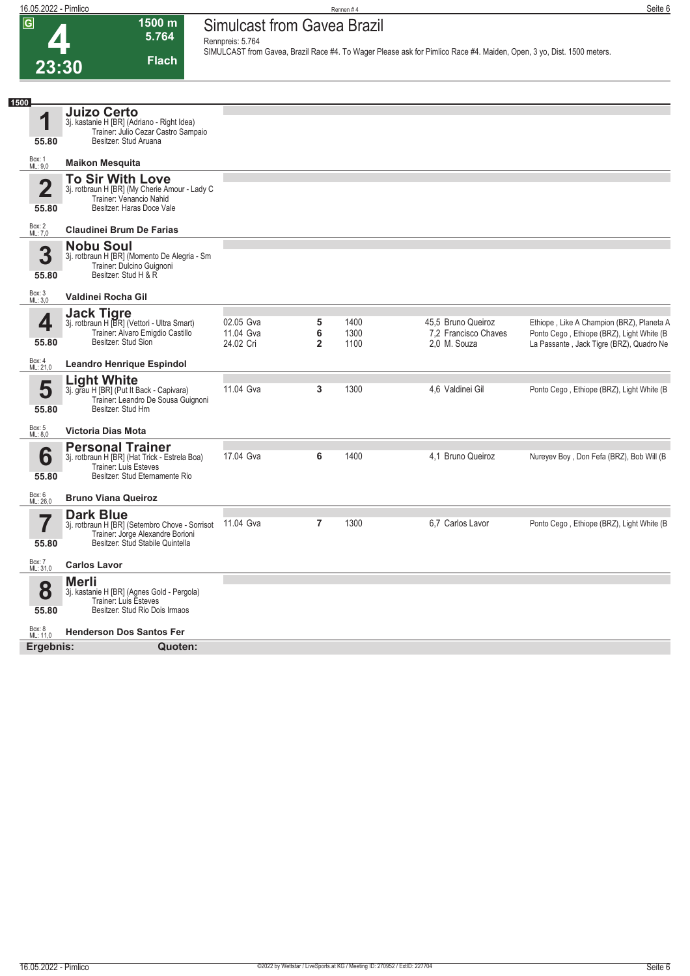**Simulcast from Gavea Brazil Rennpreis: 5.764**

**1500 m 5.764 Flach**

**SIMULCAST from Gavea, Brazil Race #4. To Wager Please ask for Pimlico Race #4. Maiden, Open, 3 yo, Dist. 1500 meters.** 

| <b>Juizo Certo</b><br>1<br>3j. kastanie H [BR] (Adriano - Right Idea)<br>Trainer: Julio Cezar Castro Sampaio<br>Besitzer: Stud Aruana<br>55.80<br>Box: 1<br>ML: 9,0<br><b>Maikon Mesquita</b><br><b>To Sir With Love</b><br>$\overline{\mathbf{2}}$<br>3j. rotbraun H [BR] (My Cherie Amour - Lady C<br>Trainer: Venancio Nahid<br>Besitzer: Haras Doce Vale<br>55.80<br>Box: 2<br>ML: 7,0<br><b>Claudinei Brum De Farias</b><br><b>Nobu Soul</b><br>3<br>3j. rotbraun H [BR] (Momento De Alegria - Sm<br>Trainer: Dulcino Guignoni<br>Besitzer: Stud H & R<br>55.80<br>Box: 3<br>Valdinei Rocha Gil<br>ML: 3,0<br><b>Jack Tigre</b><br>4<br>02.05 Gva<br>5<br>1400<br>45.5 Bruno Queiroz<br>3j. rotbraun H [BR] (Vettori - Ultra Smart)<br>Trainer: Alvaro Emigdio Castillo<br>11.04 Gva<br>6<br>1300<br>7,2 Francisco Chaves<br>Besitzer: Stud Sion<br>55.80<br>24.02 Cri<br>$\overline{2}$<br>1100<br>2,0 M. Souza<br>Box: 4<br>ML: 21,0<br><b>Leandro Henrique Espindol</b><br><b>Light White</b><br>5<br>11.04 Gva<br>3<br>1300<br>4,6 Valdinei Gil<br>3j. grau H [BR] (Put It Back - Capivara)<br>Trainer: Leandro De Sousa Guignoni<br>Besitzer: Stud Hrn<br>55.80<br>Box: 5<br>ML: 8,0<br><b>Victoria Dias Mota</b><br><b>Personal Trainer</b><br>6<br>17.04 Gva<br>6<br>1400<br>4.1 Bruno Queiroz<br>3j. rotbraun H [BR] (Hat Trick - Estrela Boa)<br>Trainer: Luis Esteves<br>Besitzer: Stud Eternamente Rio<br>55.80<br>Box: 6<br>ML: 26,0<br><b>Bruno Viana Queiroz</b><br><b>Dark Blue</b><br>7<br>$\overline{7}$<br>1300<br>3j. rotbraun H [BR] (Setembro Chove - Sorrisot 11.04 Gva<br>6.7 Carlos Lavor<br>Trainer: Jorge Alexandre Borioni<br>Besitzer: Stud Stabile Quintella<br>55.80<br>Box: 7<br><b>Carlos Lavor</b><br>ML: 31,0 | 1500 |  |  |                                                                                                                                    |
|------------------------------------------------------------------------------------------------------------------------------------------------------------------------------------------------------------------------------------------------------------------------------------------------------------------------------------------------------------------------------------------------------------------------------------------------------------------------------------------------------------------------------------------------------------------------------------------------------------------------------------------------------------------------------------------------------------------------------------------------------------------------------------------------------------------------------------------------------------------------------------------------------------------------------------------------------------------------------------------------------------------------------------------------------------------------------------------------------------------------------------------------------------------------------------------------------------------------------------------------------------------------------------------------------------------------------------------------------------------------------------------------------------------------------------------------------------------------------------------------------------------------------------------------------------------------------------------------------------------------------------------------------------------------------------------------------------------------------------------------------|------|--|--|------------------------------------------------------------------------------------------------------------------------------------|
|                                                                                                                                                                                                                                                                                                                                                                                                                                                                                                                                                                                                                                                                                                                                                                                                                                                                                                                                                                                                                                                                                                                                                                                                                                                                                                                                                                                                                                                                                                                                                                                                                                                                                                                                                      |      |  |  |                                                                                                                                    |
|                                                                                                                                                                                                                                                                                                                                                                                                                                                                                                                                                                                                                                                                                                                                                                                                                                                                                                                                                                                                                                                                                                                                                                                                                                                                                                                                                                                                                                                                                                                                                                                                                                                                                                                                                      |      |  |  |                                                                                                                                    |
|                                                                                                                                                                                                                                                                                                                                                                                                                                                                                                                                                                                                                                                                                                                                                                                                                                                                                                                                                                                                                                                                                                                                                                                                                                                                                                                                                                                                                                                                                                                                                                                                                                                                                                                                                      |      |  |  |                                                                                                                                    |
|                                                                                                                                                                                                                                                                                                                                                                                                                                                                                                                                                                                                                                                                                                                                                                                                                                                                                                                                                                                                                                                                                                                                                                                                                                                                                                                                                                                                                                                                                                                                                                                                                                                                                                                                                      |      |  |  |                                                                                                                                    |
|                                                                                                                                                                                                                                                                                                                                                                                                                                                                                                                                                                                                                                                                                                                                                                                                                                                                                                                                                                                                                                                                                                                                                                                                                                                                                                                                                                                                                                                                                                                                                                                                                                                                                                                                                      |      |  |  |                                                                                                                                    |
|                                                                                                                                                                                                                                                                                                                                                                                                                                                                                                                                                                                                                                                                                                                                                                                                                                                                                                                                                                                                                                                                                                                                                                                                                                                                                                                                                                                                                                                                                                                                                                                                                                                                                                                                                      |      |  |  |                                                                                                                                    |
|                                                                                                                                                                                                                                                                                                                                                                                                                                                                                                                                                                                                                                                                                                                                                                                                                                                                                                                                                                                                                                                                                                                                                                                                                                                                                                                                                                                                                                                                                                                                                                                                                                                                                                                                                      |      |  |  | Ethiope, Like A Champion (BRZ), Planeta A<br>Ponto Cego, Ethiope (BRZ), Light White (B<br>La Passante, Jack Tigre (BRZ), Quadro Ne |
|                                                                                                                                                                                                                                                                                                                                                                                                                                                                                                                                                                                                                                                                                                                                                                                                                                                                                                                                                                                                                                                                                                                                                                                                                                                                                                                                                                                                                                                                                                                                                                                                                                                                                                                                                      |      |  |  |                                                                                                                                    |
|                                                                                                                                                                                                                                                                                                                                                                                                                                                                                                                                                                                                                                                                                                                                                                                                                                                                                                                                                                                                                                                                                                                                                                                                                                                                                                                                                                                                                                                                                                                                                                                                                                                                                                                                                      |      |  |  | Ponto Cego, Ethiope (BRZ), Light White (B)                                                                                         |
|                                                                                                                                                                                                                                                                                                                                                                                                                                                                                                                                                                                                                                                                                                                                                                                                                                                                                                                                                                                                                                                                                                                                                                                                                                                                                                                                                                                                                                                                                                                                                                                                                                                                                                                                                      |      |  |  |                                                                                                                                    |
|                                                                                                                                                                                                                                                                                                                                                                                                                                                                                                                                                                                                                                                                                                                                                                                                                                                                                                                                                                                                                                                                                                                                                                                                                                                                                                                                                                                                                                                                                                                                                                                                                                                                                                                                                      |      |  |  | Nureyev Boy, Don Fefa (BRZ), Bob Will (B)                                                                                          |
|                                                                                                                                                                                                                                                                                                                                                                                                                                                                                                                                                                                                                                                                                                                                                                                                                                                                                                                                                                                                                                                                                                                                                                                                                                                                                                                                                                                                                                                                                                                                                                                                                                                                                                                                                      |      |  |  |                                                                                                                                    |
|                                                                                                                                                                                                                                                                                                                                                                                                                                                                                                                                                                                                                                                                                                                                                                                                                                                                                                                                                                                                                                                                                                                                                                                                                                                                                                                                                                                                                                                                                                                                                                                                                                                                                                                                                      |      |  |  | Ponto Cego, Ethiope (BRZ), Light White (B)                                                                                         |
|                                                                                                                                                                                                                                                                                                                                                                                                                                                                                                                                                                                                                                                                                                                                                                                                                                                                                                                                                                                                                                                                                                                                                                                                                                                                                                                                                                                                                                                                                                                                                                                                                                                                                                                                                      |      |  |  |                                                                                                                                    |
| <b>Merli</b><br>8<br>3j. kastanie H [BR] (Agnes Gold - Pergola)<br>Trainer: Luis Esteves<br>Besitzer: Stud Rio Dois Irmaos<br>55.80                                                                                                                                                                                                                                                                                                                                                                                                                                                                                                                                                                                                                                                                                                                                                                                                                                                                                                                                                                                                                                                                                                                                                                                                                                                                                                                                                                                                                                                                                                                                                                                                                  |      |  |  |                                                                                                                                    |
| Box: 8<br>ML: 11,0<br><b>Henderson Dos Santos Fer</b>                                                                                                                                                                                                                                                                                                                                                                                                                                                                                                                                                                                                                                                                                                                                                                                                                                                                                                                                                                                                                                                                                                                                                                                                                                                                                                                                                                                                                                                                                                                                                                                                                                                                                                |      |  |  |                                                                                                                                    |
| Ergebnis:<br>Quoten:                                                                                                                                                                                                                                                                                                                                                                                                                                                                                                                                                                                                                                                                                                                                                                                                                                                                                                                                                                                                                                                                                                                                                                                                                                                                                                                                                                                                                                                                                                                                                                                                                                                                                                                                 |      |  |  |                                                                                                                                    |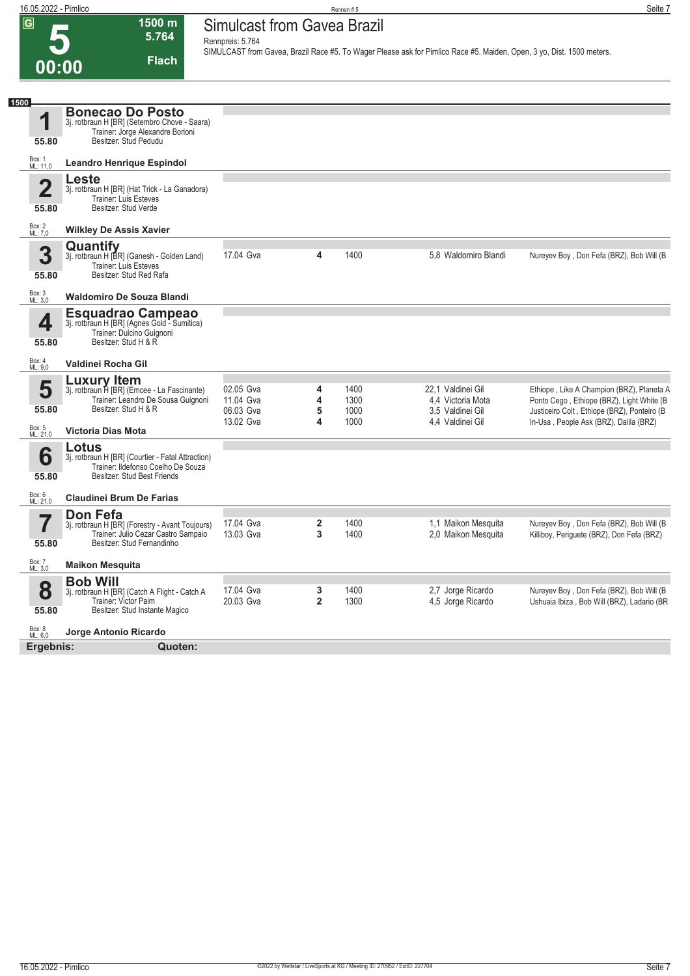

| 1500               |                                                                                         |                        |                     |              |                                        |                                                                                           |
|--------------------|-----------------------------------------------------------------------------------------|------------------------|---------------------|--------------|----------------------------------------|-------------------------------------------------------------------------------------------|
| 1                  | <b>Bonecao Do Posto</b><br>3j. rotbraun H [BR] (Setembro Chove - Saara)                 |                        |                     |              |                                        |                                                                                           |
| 55.80              | Trainer: Jorge Alexandre Borioni<br>Besitzer: Stud Pedudu                               |                        |                     |              |                                        |                                                                                           |
| Box: 1<br>ML: 11,0 | <b>Leandro Henrique Espindol</b>                                                        |                        |                     |              |                                        |                                                                                           |
| $\overline{2}$     | Leste<br>3j. rotbraun H [BR] (Hat Trick - La Ganadora)                                  |                        |                     |              |                                        |                                                                                           |
| 55.80              | <b>Trainer: Luis Esteves</b><br>Besitzer: Stud Verde                                    |                        |                     |              |                                        |                                                                                           |
|                    |                                                                                         |                        |                     |              |                                        |                                                                                           |
| Box: 2<br>ML: 7,0  | <b>Wilkley De Assis Xavier</b>                                                          |                        |                     |              |                                        |                                                                                           |
|                    | Quantify                                                                                |                        |                     |              |                                        |                                                                                           |
| 3                  | 3j. rotbraun H [BR] (Ganesh - Golden Land)<br>Trainer: Luis Esteves                     | 17.04 Gva              | 4                   | 1400         | 5,8 Waldomiro Blandi                   | Nureyev Boy, Don Fefa (BRZ), Bob Will (B)                                                 |
| 55.80              | Besitzer: Stud Red Rafa                                                                 |                        |                     |              |                                        |                                                                                           |
| Box: 3<br>ML: 3,0  | <b>Waldomiro De Souza Blandi</b>                                                        |                        |                     |              |                                        |                                                                                           |
|                    | <b>Esquadrao Campeao</b>                                                                |                        |                     |              |                                        |                                                                                           |
| 4                  | 3j. rotbraun H [BR] (Agnes Gold - Sumitica)<br>Trainer: Dulcino Guignoni                |                        |                     |              |                                        |                                                                                           |
| 55.80              | Besitzer: Stud H & R                                                                    |                        |                     |              |                                        |                                                                                           |
| Box: 4<br>ML: 9.0  | Valdinei Rocha Gil                                                                      |                        |                     |              |                                        |                                                                                           |
|                    | <b>Luxury Item</b>                                                                      |                        |                     |              |                                        |                                                                                           |
| 5                  | 3j. rotbraun H [BR] (Emcee - La Fascinante)                                             | 02.05 Gva              | 4                   | 1400         | 22.1 Valdinei Gil                      | Ethiope, Like A Champion (BRZ), Planeta A                                                 |
| 55.80              | Trainer: Leandro De Sousa Guignoni<br>Besitzer: Stud H & R                              | 11.04 Gva<br>06.03 Gva | 4<br>5              | 1300<br>1000 | 4,4 Victoria Mota<br>3,5 Valdinei Gil  | Ponto Cego, Ethiope (BRZ), Light White (B)<br>Justiceiro Colt, Ethiope (BRZ), Ponteiro (B |
|                    |                                                                                         | 13.02 Gva              | 4                   | 1000         | 4.4 Valdinei Gil                       | In-Usa, People Ask (BRZ), Dalila (BRZ)                                                    |
| Box: 5<br>ML: 21,0 | <b>Victoria Dias Mota</b>                                                               |                        |                     |              |                                        |                                                                                           |
|                    | Lotus                                                                                   |                        |                     |              |                                        |                                                                                           |
| 6                  | 3j. rotbraun H [BR] (Courtier - Fatal Attraction)<br>Trainer: Ildefonso Coelho De Souza |                        |                     |              |                                        |                                                                                           |
| 55.80              | Besitzer: Stud Best Friends                                                             |                        |                     |              |                                        |                                                                                           |
| Box: 6<br>ML: 21,0 | <b>Claudinei Brum De Farias</b>                                                         |                        |                     |              |                                        |                                                                                           |
|                    | Don Fefa                                                                                |                        |                     |              |                                        |                                                                                           |
|                    | 3j. rotbraun H [BR] (Forestry - Avant Toujours)                                         | 17.04 Gva              | 2                   | 1400         | 1,1 Maikon Mesquita                    | Nureyev Boy, Don Fefa (BRZ), Bob Will (B                                                  |
| 55.80              | Trainer: Julio Cezar Castro Sampaio<br>Besitzer: Stud Fernandinho                       | 13.03 Gva              | 3                   | 1400         | 2.0 Maikon Mesquita                    | Killiboy, Periquete (BRZ), Don Fefa (BRZ)                                                 |
| <b>Box: 7</b>      |                                                                                         |                        |                     |              |                                        |                                                                                           |
| ML: 3,0            | <b>Maikon Mesquita</b>                                                                  |                        |                     |              |                                        |                                                                                           |
|                    | <b>Bob Will</b>                                                                         | 17.04 Gva              |                     | 1400         |                                        |                                                                                           |
| 8                  | 3j. rotbraun H [BR] (Catch A Flight - Catch A<br>Trainer: Victor Paim                   | 20.03 Gva              | 3<br>$\overline{2}$ | 1300         | 2,7 Jorge Ricardo<br>4,5 Jorge Ricardo | Nureyev Boy, Don Fefa (BRZ), Bob Will (B<br>Ushuaia Ibiza, Bob Will (BRZ), Ladario (BR    |
| 55.80              | Besitzer: Stud Instante Magico                                                          |                        |                     |              |                                        |                                                                                           |
| Box: 8<br>ML: 6,0  | Jorge Antonio Ricardo                                                                   |                        |                     |              |                                        |                                                                                           |
| Ergebnis:          | Quoten:                                                                                 |                        |                     |              |                                        |                                                                                           |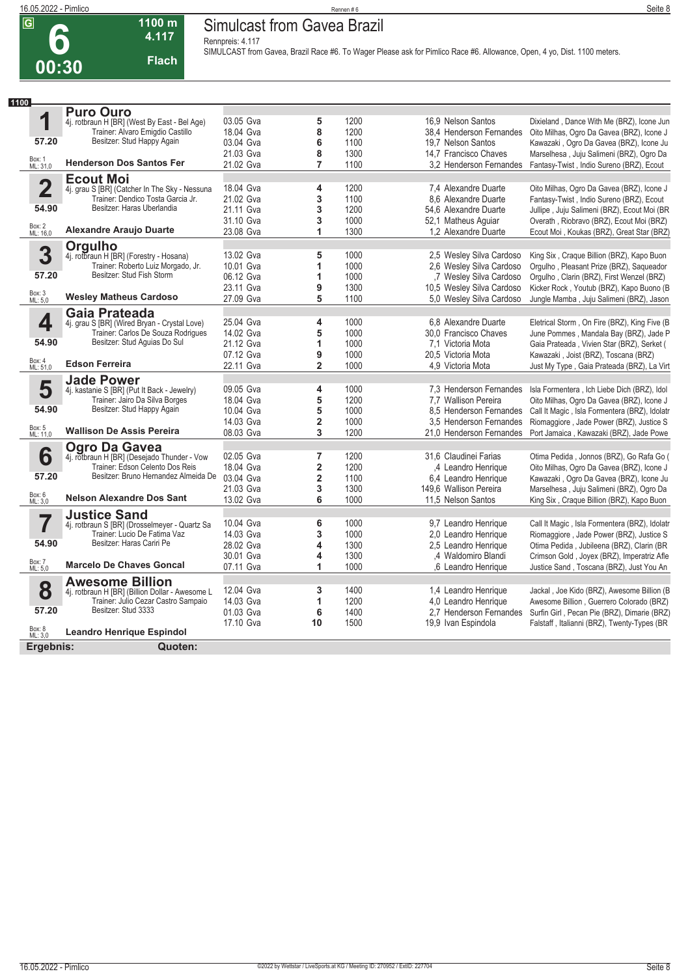### **16.05.2022 - Pimlico** Rennen # 6 **Seite 8 Simulcast from Gavea Brazil**

**Rennpreis: 4.117**

**4.117 Flach**

**1100 m**

**SIMULCAST from Gavea, Brazil Race #6. To Wager Please ask for Pimlico Race #6. Allowance, Open, 4 yo, Dist. 1100 meters.** 

| 1100                    |                                                              |           |                         |      |                                                |                                                                                       |
|-------------------------|--------------------------------------------------------------|-----------|-------------------------|------|------------------------------------------------|---------------------------------------------------------------------------------------|
|                         | <b>Puro Ouro</b>                                             |           |                         |      |                                                |                                                                                       |
| 1                       | 4j. rotbraun H [BR] (West By East - Bel Age)                 | 03.05 Gva | 5                       | 1200 | 16.9 Nelson Santos                             | Dixieland, Dance With Me (BRZ), Icone Jun                                             |
|                         | Trainer: Alvaro Emigdio Castillo                             | 18.04 Gva | 8                       | 1200 | 38.4 Henderson Fernandes                       | Oito Milhas, Ogro Da Gavea (BRZ), Icone J                                             |
| 57.20                   | Besitzer: Stud Happy Again                                   | 03.04 Gva | 6                       | 1100 | 19.7 Nelson Santos                             | Kawazaki, Ogro Da Gavea (BRZ), Icone Ju                                               |
|                         |                                                              | 21.03 Gva | 8                       | 1300 | 14.7 Francisco Chaves                          | Marselhesa, Juju Salimeni (BRZ), Ogro Da                                              |
| Box: 1<br>ML: 31,0      | <b>Henderson Dos Santos Fer</b>                              | 21.02 Gva | $\overline{7}$          | 1100 | 3.2 Henderson Fernandes                        | Fantasy-Twist, Indio Sureno (BRZ), Ecout                                              |
|                         | <b>Ecout Moi</b>                                             |           |                         |      |                                                |                                                                                       |
| $\overline{\mathbf{2}}$ | 4j. grau S [BR] (Catcher In The Sky - Nessuna                | 18.04 Gva | 4                       | 1200 | 7.4 Alexandre Duarte                           | Oito Milhas, Ogro Da Gavea (BRZ), Icone J                                             |
|                         | Trainer: Dendico Tosta Garcia Jr.                            | 21.02 Gva | 3                       | 1100 | 8.6 Alexandre Duarte                           | Fantasy-Twist, Indio Sureno (BRZ), Ecout                                              |
| 54.90                   | Besitzer: Haras Uberlandia                                   | 21.11 Gva | 3                       | 1200 | 54.6 Alexandre Duarte                          | Jullipe, Juju Salimeni (BRZ), Ecout Moi (BR                                           |
|                         |                                                              | 31.10 Gva | 3                       | 1000 | 52,1 Matheus Aquiar                            | Overath, Riobravo (BRZ), Ecout Moi (BRZ)                                              |
| Box: 2<br>ML: 16,0      | <b>Alexandre Araujo Duarte</b>                               | 23.08 Gva | 1                       | 1300 | 1.2 Alexandre Duarte                           | Ecout Moi, Koukas (BRZ), Great Star (BRZ)                                             |
|                         |                                                              |           |                         |      |                                                |                                                                                       |
| 3                       | <b>Orgulho</b><br>4j. rotbraun H [BR] (Forestry - Hosana)    | 13.02 Gva | 5                       | 1000 | 2.5 Wesley Silva Cardoso                       | King Six, Craque Billion (BRZ), Kapo Buon                                             |
|                         | Trainer: Roberto Luiz Morgado, Jr.                           | 10.01 Gva | 1                       | 1000 | 2,6 Wesley Silva Cardoso                       | Orgulho, Pleasant Prize (BRZ), Saqueador                                              |
| 57.20                   | Besitzer: Stud Fish Storm                                    | 06.12 Gva | 1                       | 1000 | ,7 Wesley Silva Cardoso                        | Orgulho, Clarin (BRZ), First Wenzel (BRZ)                                             |
|                         |                                                              | 23.11 Gva | 9                       | 1300 | 10,5 Wesley Silva Cardoso                      | Kicker Rock, Youtub (BRZ), Kapo Buono (B                                              |
| Box: 3<br>ML: 5,0       | <b>Wesley Matheus Cardoso</b>                                | 27.09 Gva | 5                       | 1100 | 5.0 Wesley Silva Cardoso                       | Jungle Mamba, Juju Salimeni (BRZ), Jason                                              |
|                         | Gaia Prateada                                                |           |                         |      |                                                |                                                                                       |
| 4                       | 4j. grau S [BR] (Wired Bryan - Crystal Love)                 | 25.04 Gva | 4                       | 1000 | 6.8 Alexandre Duarte                           | Eletrical Storm, On Fire (BRZ), King Five (B)                                         |
|                         | Trainer: Carlos De Souza Rodrigues                           | 14.02 Gva | 5                       | 1000 | 30.0 Francisco Chaves                          | June Pommes, Mandala Bay (BRZ), Jade P                                                |
| 54.90                   | Besitzer: Stud Aquias Do Sul                                 | 21.12 Gva | 1                       | 1000 | 7.1 Victoria Mota                              | Gaia Prateada, Vivien Star (BRZ), Serket (                                            |
|                         |                                                              | 07.12 Gva | 9                       | 1000 | 20.5 Victoria Mota                             | Kawazaki, Joist (BRZ), Toscana (BRZ)                                                  |
| Box: 4<br>ML: 51,0      | <b>Edson Ferreira</b>                                        | 22.11 Gva | $\overline{\mathbf{c}}$ | 1000 | 4.9 Victoria Mota                              | Just My Type, Gaia Prateada (BRZ), La Virt                                            |
|                         | <b>Jade Power</b>                                            |           |                         |      |                                                |                                                                                       |
| 5                       | 4j. kastanie S [BR] (Put It Back - Jewelry)                  | 09.05 Gva | 4                       | 1000 | 7.3 Henderson Fernandes                        | Isla Formentera, Ich Liebe Dich (BRZ), Idol                                           |
|                         | Trainer: Jairo Da Silva Borges                               | 18.04 Gva | 5                       | 1200 | 7.7 Wallison Pereira                           | Oito Milhas, Ogro Da Gavea (BRZ), Icone J                                             |
| 54.90                   | Besitzer: Stud Happy Again                                   | 10.04 Gva | 5                       | 1000 | 8.5 Henderson Fernandes                        | Call It Magic, Isla Formentera (BRZ), Idolatr                                         |
|                         |                                                              | 14.03 Gva | $\overline{\mathbf{c}}$ | 1000 | 3,5 Henderson Fernandes                        | Riomaggiore, Jade Power (BRZ), Justice S                                              |
| Box: 5<br>ML: 11,0      | <b>Wallison De Assis Pereira</b>                             | 08.03 Gva | 3                       | 1200 | 21,0 Henderson Fernandes                       | Port Jamaica, Kawazaki (BRZ), Jade Powe                                               |
|                         |                                                              |           |                         |      |                                                |                                                                                       |
|                         | Ogro Da Gavea<br>4j. rotbraun H [BR] (Desejado Thunder - Vow | 02.05 Gva | 7                       | 1200 | 31,6 Claudinei Farias                          | Otima Pedida, Jonnos (BRZ), Go Rafa Go (                                              |
| 6                       | Trainer: Edson Celento Dos Reis                              | 18.04 Gva | $\overline{\mathbf{2}}$ | 1200 | 4 Leandro Henrique                             | Oito Milhas, Ogro Da Gavea (BRZ), Icone J                                             |
| 57.20                   | Besitzer: Bruno Hernandez Almeida De                         | 03.04 Gva | $\overline{\mathbf{2}}$ | 1100 |                                                |                                                                                       |
|                         |                                                              | 21.03 Gva | 3                       | 1300 | 6,4 Leandro Henrique<br>149.6 Wallison Pereira | Kawazaki, Ogro Da Gavea (BRZ), Icone Ju                                               |
| Box: 6<br>ML: 3,0       | <b>Nelson Alexandre Dos Sant</b>                             | 13.02 Gva | 6                       | 1000 | 11.5 Nelson Santos                             | Marselhesa, Juju Salimeni (BRZ), Ogro Da<br>King Six, Craque Billion (BRZ), Kapo Buon |
|                         |                                                              |           |                         |      |                                                |                                                                                       |
|                         | <b>Justice Sand</b>                                          |           |                         |      |                                                |                                                                                       |
|                         | 4j. rotbraun S [BR] (Drosselmeyer - Quartz Sa                | 10.04 Gva | 6                       | 1000 | 9,7 Leandro Henrique                           | Call It Magic, Isla Formentera (BRZ), Idolatr                                         |
|                         | Trainer: Lucio De Fatima Vaz<br>Besitzer: Haras Cariri Pe    | 14.03 Gva | 3                       | 1000 | 2.0 Leandro Henrique                           | Riomaggiore, Jade Power (BRZ), Justice S                                              |
| 54.90                   |                                                              | 28.02 Gva | 4                       | 1300 | 2,5 Leandro Henrique                           | Otima Pedida, Jubileena (BRZ), Clarin (BR                                             |
| Box: 7                  | <b>Marcelo De Chaves Goncal</b>                              | 30.01 Gva | 4                       | 1300 | ,4 Waldomiro Blandi                            | Crimson Gold, Joyex (BRZ), Imperatriz Afle                                            |
| ML: 5,0                 |                                                              | 07.11 Gva | 1                       | 1000 | 6 Leandro Henrique                             | Justice Sand, Toscana (BRZ), Just You An                                              |
|                         | <b>Awesome Billion</b>                                       |           |                         |      |                                                |                                                                                       |
| 8                       | 4j. rotbraun H [BR] (Billion Dollar - Awesome L              | 12.04 Gva | 3                       | 1400 | 1.4 Leandro Henrique                           | Jackal, Joe Kido (BRZ), Awesome Billion (B                                            |
|                         | Trainer: Julio Cezar Castro Sampaio<br>Besitzer: Stud 3333   | 14.03 Gva | 1                       | 1200 | 4.0 Leandro Henrique                           | Awesome Billion, Guerrero Colorado (BRZ)                                              |
| 57.20                   |                                                              | 01.03 Gva | 6                       | 1400 | 2.7 Henderson Fernandes                        | Surfin Girl, Pecan Pie (BRZ), Dimarie (BRZ)                                           |
| Box: 8<br>ML: 3,0       |                                                              | 17.10 Gva | 10                      | 1500 | 19,9 Ivan Espindola                            | Falstaff, Italianni (BRZ), Twenty-Types (BR                                           |
|                         | <b>Leandro Henrique Espindol</b>                             |           |                         |      |                                                |                                                                                       |
| Ergebnis:               | Quoten:                                                      |           |                         |      |                                                |                                                                                       |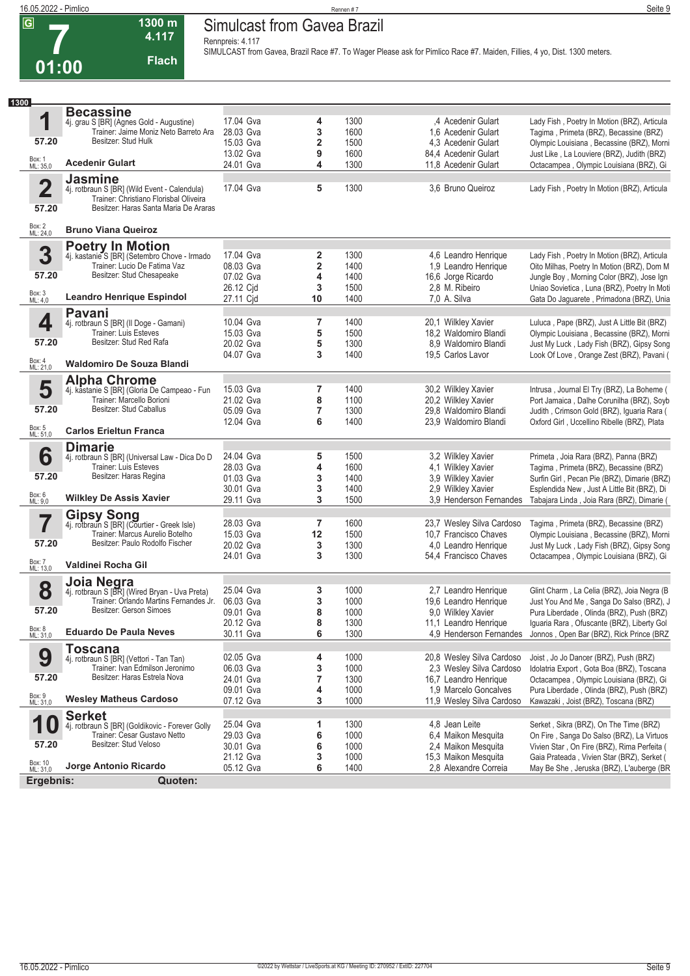**7**

### **16.05.2022 - Pimlico** Rennen # 7 **Seite 9 Simulcast from Gavea Brazil**

**Rennpreis: 4.117**

**4.117 Flach**

**1300 m**

**SIMULCAST from Gavea, Brazil Race #7. To Wager Please ask for Pimlico Race #7. Maiden, Fillies, 4 yo, Dist. 1300 meters.** 

| 1300 |                         |                                                                                         |           |                         |      |                                           |                                                                                        |
|------|-------------------------|-----------------------------------------------------------------------------------------|-----------|-------------------------|------|-------------------------------------------|----------------------------------------------------------------------------------------|
|      |                         | <b>Becassine</b>                                                                        |           |                         |      |                                           |                                                                                        |
|      | 1                       | 4j. grau S [BR] (Agnes Gold - Augustine)<br>Trainer: Jaime Moniz Neto Barreto Ara       | 17.04 Gva | 4                       | 1300 | ,4 Acedenir Gulart                        | Lady Fish, Poetry In Motion (BRZ), Articula                                            |
|      |                         |                                                                                         | 28.03 Gva | 3                       | 1600 | 1.6 Acedenir Gulart                       | Tagima, Primeta (BRZ), Becassine (BRZ)                                                 |
|      | 57.20                   | Besitzer: Stud Hulk                                                                     | 15.03 Gva | $\overline{\mathbf{2}}$ | 1500 | 4.3 Acedenir Gulart                       | Olympic Louisiana, Becassine (BRZ), Morni                                              |
|      |                         |                                                                                         | 13.02 Gva | 9                       | 1600 | 84,4 Acedenir Gulart                      | Just Like, La Louviere (BRZ), Judith (BRZ)                                             |
|      | Box: 1<br>ML: 35,0      | <b>Acedenir Gulart</b>                                                                  | 24.01 Gva | 4                       | 1300 | 11,8 Acedenir Gulart                      | Octacampea, Olympic Louisiana (BRZ), Gi                                                |
|      |                         | <b>Jasmine</b>                                                                          |           |                         |      |                                           |                                                                                        |
|      | $\overline{\mathbf{2}}$ | 4j. rotbraun S [BR] (Wild Event - Calendula)                                            | 17.04 Gva | 5                       | 1300 | 3,6 Bruno Queiroz                         | Lady Fish, Poetry In Motion (BRZ), Articula                                            |
|      |                         | Trainer: Christiano Florisbal Oliveira                                                  |           |                         |      |                                           |                                                                                        |
|      | 57.20                   | Besitzer: Haras Santa Maria De Araras                                                   |           |                         |      |                                           |                                                                                        |
|      | Box: 2<br>ML: 24,0      | <b>Bruno Viana Queiroz</b>                                                              |           |                         |      |                                           |                                                                                        |
|      |                         | <b>Poetry In Motion</b>                                                                 |           |                         |      |                                           |                                                                                        |
|      | 3                       | 4j. kastanie S [BR] (Setembro Chove - Irmado                                            | 17.04 Gva | 2                       | 1300 | 4,6 Leandro Henrique                      | Lady Fish, Poetry In Motion (BRZ), Articula                                            |
|      |                         | Trainer: Lucio De Fatima Vaz                                                            | 08.03 Gva | $\overline{\mathbf{2}}$ | 1400 | 1,9 Leandro Henrique                      | Oito Milhas, Poetry In Motion (BRZ), Dom M                                             |
|      | 57.20                   | Besitzer: Stud Chesapeake                                                               | 07.02 Gva | 4                       | 1400 | 16,6 Jorge Ricardo                        | Jungle Boy, Morning Color (BRZ), Jose Ign                                              |
|      |                         |                                                                                         | 26.12 Cjd | 3                       | 1500 | 2,8 M. Ribeiro                            | Uniao Sovietica, Luna (BRZ), Poetry In Moti                                            |
|      | Box: 3<br>ML: 4,0       | <b>Leandro Henrique Espindol</b>                                                        | 27.11 Cid | 10                      | 1400 | 7,0 A. Silva                              | Gata Do Jaguarete, Primadona (BRZ), Unia                                               |
|      |                         |                                                                                         |           |                         |      |                                           |                                                                                        |
|      | 4                       | <b>Pavani</b>                                                                           | 10.04 Gva | 7                       | 1400 | 20,1 Wilkley Xavier                       | Luluca, Pape (BRZ), Just A Little Bit (BRZ)                                            |
|      |                         | 4j. rotbraun S [BR] (Il Doge - Gamani)<br>Trainer: Luis Esteves                         | 15.03 Gva | 5                       | 1500 | 18,2 Waldomiro Blandi                     | Olympic Louisiana, Becassine (BRZ), Morni                                              |
|      | 57.20                   | Besitzer: Stud Red Rafa                                                                 | 20.02 Gva | 5                       | 1300 |                                           |                                                                                        |
|      |                         |                                                                                         | 04.07 Gva | 3                       | 1400 | 8.9 Waldomiro Blandi<br>19,5 Carlos Lavor | Just My Luck, Lady Fish (BRZ), Gipsy Song<br>Look Of Love, Orange Zest (BRZ), Pavani ( |
|      | Box: 4<br>ML: 21,0      | <b>Waldomiro De Souza Blandi</b>                                                        |           |                         |      |                                           |                                                                                        |
|      |                         | <b>Alpha Chrome</b>                                                                     |           |                         |      |                                           |                                                                                        |
|      | 5                       | 4j. kastanie S [BR] (Gloria De Campeao - Fun                                            | 15.03 Gva | 7                       | 1400 | 30,2 Wilkley Xavier                       | Intrusa, Journal El Try (BRZ), La Boheme (                                             |
|      |                         | Trainer: Marcello Borioni                                                               | 21.02 Gva | 8                       | 1100 | 20,2 Wilkley Xavier                       | Port Jamaica, Dalhe Corunilha (BRZ), Soyb                                              |
|      | 57.20                   | Besitzer: Stud Caballus                                                                 | 05.09 Gva | 7                       | 1300 | 29,8 Waldomiro Blandi                     | Judith, Crimson Gold (BRZ), Iguaria Rara (                                             |
|      |                         |                                                                                         | 12.04 Gva | 6                       | 1400 | 23,9 Waldomiro Blandi                     | Oxford Girl, Uccellino Ribelle (BRZ), Plata                                            |
|      | Box: 5<br>ML: 51,0      | <b>Carlos Erieltun Franca</b>                                                           |           |                         |      |                                           |                                                                                        |
|      |                         | <b>Dimarie</b>                                                                          |           |                         |      |                                           |                                                                                        |
|      | 6                       | 4j. rotbraun S [BR] (Universal Law - Dica Do D                                          | 24.04 Gva | 5                       | 1500 | 3,2 Wilkley Xavier                        | Primeta, Joia Rara (BRZ), Panna (BRZ)                                                  |
|      |                         | Trainer: Luis Esteves                                                                   | 28.03 Gva | 4                       | 1600 | 4,1 Wilkley Xavier                        | Tagima, Primeta (BRZ), Becassine (BRZ)                                                 |
|      | 57.20                   | Besitzer: Haras Regina                                                                  | 01.03 Gva | 3                       | 1400 | 3,9 Wilkley Xavier                        | Surfin Girl, Pecan Pie (BRZ), Dimarie (BRZ)                                            |
|      |                         |                                                                                         | 30.01 Gva | 3                       | 1400 | 2.9 Wilkley Xavier                        | Esplendida New, Just A Little Bit (BRZ), Di                                            |
|      | Box: 6<br>ML: 9,0       | <b>Wilkley De Assis Xavier</b>                                                          | 29.11 Gva | 3                       | 1500 | 3.9 Henderson Fernandes                   | Tabajara Linda, Joia Rara (BRZ), Dimarie (                                             |
|      |                         |                                                                                         |           |                         |      |                                           |                                                                                        |
|      | 7                       | <b>Gipsy Song</b><br>4j. rotbraun S [BR] (Courtier - Greek Isle)                        | 28.03 Gva | 7                       | 1600 | 23,7 Wesley Silva Cardoso                 | Tagima, Primeta (BRZ), Becassine (BRZ)                                                 |
|      |                         | Trainer: Marcus Aurelio Botelho                                                         | 15.03 Gva | 12                      | 1500 | 10,7 Francisco Chaves                     | Olympic Louisiana, Becassine (BRZ), Morni                                              |
|      | 57.20                   | Besitzer: Paulo Rodolfo Fischer                                                         | 20.02 Gva | 3                       | 1300 | 4,0 Leandro Henrique                      | Just My Luck, Lady Fish (BRZ), Gipsy Song                                              |
|      |                         |                                                                                         | 24.01 Gva | 3                       | 1300 | 54,4 Francisco Chaves                     | Octacampea, Olympic Louisiana (BRZ), Gi                                                |
|      | Box: 7<br>ML: 13,0      | Valdinei Rocha Gil                                                                      |           |                         |      |                                           |                                                                                        |
|      |                         | Joia Negra                                                                              |           |                         |      |                                           |                                                                                        |
|      | 8                       |                                                                                         | 25.04 Gva | 3                       | 1000 | 2,7 Leandro Henrique                      | Glint Charm, La Celia (BRZ), Joia Negra (B                                             |
|      |                         | 4j. rotbraun S [BR] (Wired Bryan - Uva Preta)<br>Trainer: Orlando Martins Fernandes Jr. | 06.03 Gva | 3                       | 1000 | 19,6 Leandro Henrique                     | Just You And Me, Sanga Do Salso (BRZ), J                                               |
|      | 57.20                   | Besitzer: Gerson Simoes                                                                 | 09.01 Gva | 8                       | 1000 | 9,0 Wilkley Xavier                        | Pura Liberdade, Olinda (BRZ), Push (BRZ)                                               |
|      |                         |                                                                                         | 20.12 Gva | 8                       | 1300 | 11,1 Leandro Henrique                     | Iguaria Rara, Ofuscante (BRZ), Liberty Gol                                             |
|      | Box: 8<br>ML: 31,0      | <b>Eduardo De Paula Neves</b>                                                           | 30.11 Gva | 6                       | 1300 | 4.9 Henderson Fernandes                   | Jonnos, Open Bar (BRZ), Rick Prince (BRZ                                               |
|      |                         | <b>Toscana</b>                                                                          |           |                         |      |                                           |                                                                                        |
|      | 9                       | 4j. rotbraun S [BR] (Vettori - Tan Tan)                                                 | 02.05 Gva | 4                       | 1000 | 20,8 Wesley Silva Cardoso                 | Joist, Jo Jo Dancer (BRZ), Push (BRZ)                                                  |
|      |                         | Trainer: Ivan Edmilson Jeronimo                                                         | 06.03 Gva | 3                       | 1000 | 2,3 Wesley Silva Cardoso                  | Idolatria Export, Gota Boa (BRZ), Toscana                                              |
|      | 57.20                   | Besitzer: Haras Estrela Nova                                                            | 24.01 Gva | 7                       | 1300 | 16,7 Leandro Henrique                     | Octacampea, Olympic Louisiana (BRZ), Gi                                                |
|      |                         |                                                                                         | 09.01 Gva | 4                       | 1000 | 1.9 Marcelo Goncalves                     | Pura Liberdade, Olinda (BRZ), Push (BRZ)                                               |
|      | Box: 9<br>ML: 31,0      | <b>Wesley Matheus Cardoso</b>                                                           | 07.12 Gva | 3                       | 1000 | 11,9 Wesley Silva Cardoso                 | Kawazaki, Joist (BRZ), Toscana (BRZ)                                                   |
|      |                         | <b>Serket</b>                                                                           |           |                         |      |                                           |                                                                                        |
|      | 1<br>Û                  | 4j. rotbraun S [BR] (Goldikovic - Forever Golly                                         | 25.04 Gva | 1                       | 1300 | 4,8 Jean Leite                            | Serket, Sikra (BRZ), On The Time (BRZ)                                                 |
|      |                         | Trainer: Cesar Gustavo Netto                                                            | 29.03 Gva | 6                       | 1000 | 6,4 Maikon Mesquita                       | On Fire, Sanga Do Salso (BRZ), La Virtuos                                              |
|      | 57.20                   | Besitzer: Stud Veloso                                                                   | 30.01 Gva | 6                       | 1000 | 2,4 Maikon Mesquita                       | Vivien Star, On Fire (BRZ), Rima Perfeita (                                            |
|      |                         |                                                                                         | 21.12 Gva | 3                       | 1000 | 15,3 Maikon Mesquita                      | Gaia Prateada, Vivien Star (BRZ), Serket (                                             |
|      | Box: 10<br>ML: 31,0     | Jorge Antonio Ricardo                                                                   | 05.12 Gva | 6                       | 1400 | 2,8 Alexandre Correia                     | May Be She, Jeruska (BRZ), L'auberge (BR                                               |
|      | Ergebnis:               | Quoten:                                                                                 |           |                         |      |                                           |                                                                                        |
|      |                         |                                                                                         |           |                         |      |                                           |                                                                                        |